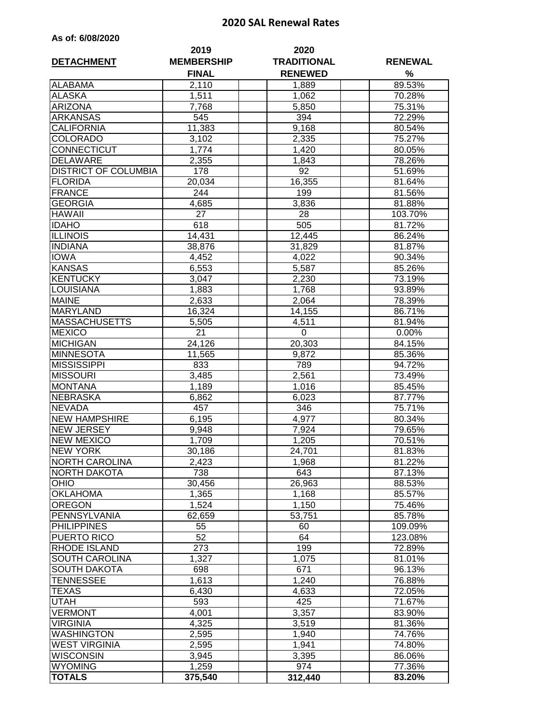## **2020 SAL Renewal Rates**

|  |  |  | As of: 6/08/2020 |
|--|--|--|------------------|
|--|--|--|------------------|

|                             | 2019               | 2020               |                  |
|-----------------------------|--------------------|--------------------|------------------|
| <b>DETACHMENT</b>           | <b>MEMBERSHIP</b>  | <b>TRADITIONAL</b> | <b>RENEWAL</b>   |
|                             | <b>FINAL</b>       | <b>RENEWED</b>     | %                |
| <b>ALABAMA</b>              | 2,110              | 1,889              | 89.53%           |
| <b>ALASKA</b>               | 1,511              | 1,062              | 70.28%           |
| <b>ARIZONA</b>              | 7,768              | 5,850              | 75.31%           |
| <b>ARKANSAS</b>             | 545                | 394                | 72.29%           |
| <b>CALIFORNIA</b>           | 11,383             | 9,168              | 80.54%           |
| <b>COLORADO</b>             | 3,102              | 2,335              | 75.27%           |
| CONNECTICUT                 | 1,774              | 1,420              | 80.05%           |
| <b>DELAWARE</b>             | 2,355              | 1,843              | 78.26%           |
| <b>DISTRICT OF COLUMBIA</b> | 178                | 92                 | 51.69%           |
| <b>FLORIDA</b>              | 20,034             | 16,355             | 81.64%           |
| <b>FRANCE</b>               | 244                | 199                | 81.56%           |
| <b>GEORGIA</b>              | 4,685              | 3,836              | 81.88%           |
| <b>HAWAII</b>               | 27                 | 28                 | 103.70%          |
| <b>IDAHO</b>                | 618                | 505                | 81.72%           |
| <b>ILLINOIS</b>             | 14,431             | 12,445             | 86.24%           |
| <b>INDIANA</b>              | 38,876             | 31,829             | 81.87%           |
| <b>IOWA</b>                 | 4,452              | 4,022              | 90.34%           |
| <b>KANSAS</b>               | 6,553              | 5,587              | 85.26%           |
| <b>KENTUCKY</b>             | 3,047              | 2,230              | 73.19%           |
| <b>LOUISIANA</b>            | 1,883              | 1,768              | 93.89%           |
| <b>MAINE</b>                | 2,633              | 2,064              | 78.39%           |
| <b>MARYLAND</b>             | 16,324             | 14,155             | 86.71%           |
| <b>MASSACHUSETTS</b>        | 5,505              | 4,511              | 81.94%           |
| <b>MEXICO</b>               | $\overline{2}1$    | $\mathbf 0$        | 0.00%            |
| <b>MICHIGAN</b>             |                    |                    | 84.15%           |
| <b>MINNESOTA</b>            | 24,126             | 20,303             |                  |
| <b>MISSISSIPPI</b>          | 11,565<br>833      | 9,872<br>789       | 85.36%<br>94.72% |
| <b>MISSOURI</b>             | 3,485              | $\overline{2,561}$ | 73.49%           |
| <b>MONTANA</b>              | 1,189              | 1,016              | 85.45%           |
| <b>NEBRASKA</b>             |                    |                    |                  |
| <b>NEVADA</b>               | 6,862              | 6,023<br>346       | 87.77%<br>75.71% |
| <b>NEW HAMPSHIRE</b>        | 457<br>6,195       | 4,977              |                  |
| <b>NEW JERSEY</b>           |                    |                    | 80.34%<br>79.65% |
| <b>NEW MEXICO</b>           | 9,948<br>1,709     | 7,924              | 70.51%           |
| <b>NEW YORK</b>             |                    | 1,205<br>24,701    |                  |
|                             | 30,186             |                    | $81.83\%$        |
| <b>NORTH CAROLINA</b>       | 2,423<br>738       | 1,968<br>643       | 81.22%           |
| NORTH DAKOTA<br><b>OHIO</b> |                    |                    | 87.13%           |
| <b>OKLAHOMA</b>             | 30,456             | 26,963             | 88.53%           |
| <b>OREGON</b>               | 1,365<br>1,524     | 1,168<br>1,150     | 85.57%<br>75.46% |
| PENNSYLVANIA                |                    |                    | 85.78%           |
|                             | 62,659             | 53,751             |                  |
| <b>PHILIPPINES</b>          | 55<br>52           | 60                 | 109.09%          |
| PUERTO RICO                 |                    | 64                 | 123.08%          |
| <b>RHODE ISLAND</b>         | 273                | 199                | 72.89%           |
| SOUTH CAROLINA              | $\overline{1,327}$ | 1,075              | 81.01%           |
| <b>SOUTH DAKOTA</b>         | 698                | 671                | 96.13%           |
| TENNESSEE                   | 1,613              | 1,240              | 76.88%           |
| TEXAS                       | 6,430              | 4,633              | 72.05%           |
| UTAH                        | 593                | 425                | 71.67%           |
| <b>VERMONT</b>              | 4,001              | 3,357              | 83.90%           |
| <b>VIRGINIA</b>             | 4,325              | 3,519              | 81.36%           |
| <b>WASHINGTON</b>           | 2,595              | 1,940              | 74.76%           |
| <b>WEST VIRGINIA</b>        | 2,595              | 1,941              | 74.80%           |
| <b>WISCONSIN</b>            | 3,945              | 3,395              | 86.06%           |
| <b>WYOMING</b>              | 1,259              | 974                | 77.36%           |
| <b>TOTALS</b>               | 375,540            | 312,440            | 83.20%           |